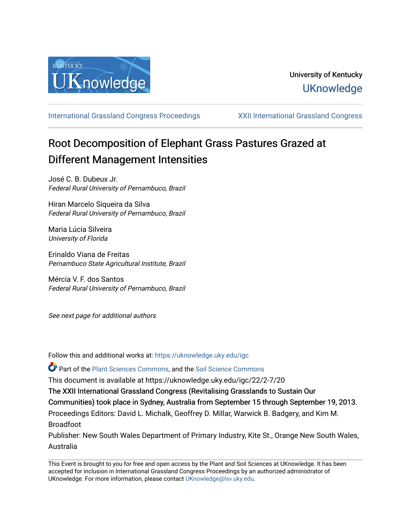

[International Grassland Congress Proceedings](https://uknowledge.uky.edu/igc) [XXII International Grassland Congress](https://uknowledge.uky.edu/igc/22) 

# Root Decomposition of Elephant Grass Pastures Grazed at Different Management Intensities

José C. B. Dubeux Jr. Federal Rural University of Pernambuco, Brazil

Hiran Marcelo Siqueira da Silva Federal Rural University of Pernambuco, Brazil

Maria Lúcia Silveira University of Florida

Erinaldo Viana de Freitas Pernambuco State Agricultural Institute, Brazil

Mércia V. F. dos Santos Federal Rural University of Pernambuco, Brazil

See next page for additional authors

Follow this and additional works at: [https://uknowledge.uky.edu/igc](https://uknowledge.uky.edu/igc?utm_source=uknowledge.uky.edu%2Figc%2F22%2F2-7%2F20&utm_medium=PDF&utm_campaign=PDFCoverPages) 

Part of the [Plant Sciences Commons](http://network.bepress.com/hgg/discipline/102?utm_source=uknowledge.uky.edu%2Figc%2F22%2F2-7%2F20&utm_medium=PDF&utm_campaign=PDFCoverPages), and the [Soil Science Commons](http://network.bepress.com/hgg/discipline/163?utm_source=uknowledge.uky.edu%2Figc%2F22%2F2-7%2F20&utm_medium=PDF&utm_campaign=PDFCoverPages) 

This document is available at https://uknowledge.uky.edu/igc/22/2-7/20

The XXII International Grassland Congress (Revitalising Grasslands to Sustain Our

Communities) took place in Sydney, Australia from September 15 through September 19, 2013.

Proceedings Editors: David L. Michalk, Geoffrey D. Millar, Warwick B. Badgery, and Kim M. Broadfoot

Publisher: New South Wales Department of Primary Industry, Kite St., Orange New South Wales, Australia

This Event is brought to you for free and open access by the Plant and Soil Sciences at UKnowledge. It has been accepted for inclusion in International Grassland Congress Proceedings by an authorized administrator of UKnowledge. For more information, please contact [UKnowledge@lsv.uky.edu](mailto:UKnowledge@lsv.uky.edu).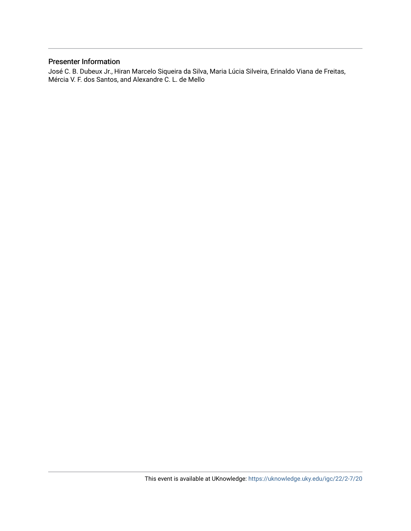### Presenter Information

José C. B. Dubeux Jr., Hiran Marcelo Siqueira da Silva, Maria Lúcia Silveira, Erinaldo Viana de Freitas, Mércia V. F. dos Santos, and Alexandre C. L. de Mello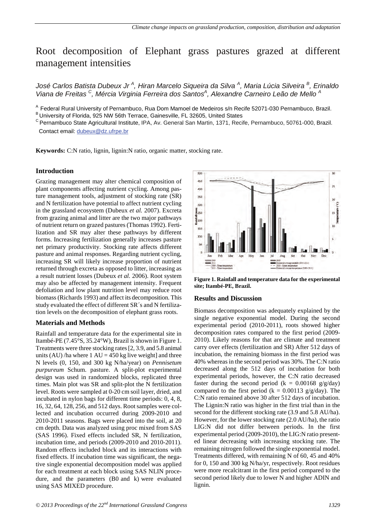## Root decomposition of Elephant grass pastures grazed at different management intensities

*José Carlos Batista Dubeux Jr <sup>A</sup> , Hiran Marcelo Siqueira da Silva <sup>A</sup> , Maria Lúcia Silveira <sup>B</sup> , Erinaldo Viana de Freitas <sup>C</sup> , Mércia Virginia Ferreira dos Santos<sup>A</sup> , Alexandre Carneiro Leão de Mello <sup>A</sup>*

<sup>A</sup> Federal Rural University of Pernambuco, Rua Dom Mamoel de Medeiros s/n Recife 52071-030 Pernambuco, Brazil.<br><sup>B</sup> University of Florida, 925 NW 56th Terrace, Gainesville, FL 32605, United States

C Pernambuco State Agricultural Institute, IPA, Av. General San Martin, 1371, Recife, Pernambuco, 50761-000, Brazil. Contact email: dubeux@dz.ufrpe.br

**Keywords:** C:N ratio, lignin, lignin:N ratio, organic matter, stocking rate.

#### **Introduction**

Grazing management may alter chemical composition of plant components affecting nutrient cycling. Among pasture management tools, adjustment of stocking rate (SR) and N fertilization have potential to affect nutrient cycling in the grassland ecosystem (Dubeux *et al.* 2007). Excreta from grazing animal and litter are the two major pathways of nutrient return on grazed pastures (Thomas 1992). Fertilization and SR may alter these pathways by different forms. Increasing fertilization generally increases pasture net primary productivity. Stocking rate affects different pasture and animal responses. Regarding nutrient cycling, increasing SR will likely increase proportion of nutrient returned through excreta as opposed to litter, increasing as a result nutrient losses (Dubeux *et al.* 2006). Root system may also be affected by management intensity. Frequent defoliation and low plant nutrition level may reduce root biomass (Richards 1993) and affect its decomposition. This study evaluated the effect of different SR´s and N fertilization levels on the decomposition of elephant grass roots.

#### **Materials and Methods**

Rainfall and temperature data for the experimental site in Itambé-PE (7.45°S, 35.24°W), Brazil is shown in Figure 1. Treatments were three stocking rates [2, 3.9, and 5.8 animal units (AU) /ha where  $1 \text{ AU} = 450 \text{ kg}$  live weight] and three N levels (0, 150, and 300 kg N/ha/year) on *Pennisetum purpureum* Schum. pasture. A split-plot experimental design was used in randomized blocks, replicated three times. Main plot was SR and split-plot the N fertilization level. Roots were sampled at 0-20 cm soil layer, dried, and incubated in nylon bags for different time periods: 0, 4, 8, 16, 32, 64, 128, 256, and 512 days. Root samples were collected and incubation occurred during 2009-2010 and 2010-2011 seasons. Bags were placed into the soil, at 20 cm depth. Data was analyzed using proc mixed from SAS (SAS 1996). Fixed effects included SR, N fertilization, incubation time, and periods (2009-2010 and 2010-2011). Random effects included block and its interactions with fixed effects. If incubation time was significant, the negative single exponential decomposition model was applied for each treatment at each block using SAS NLIN procedure, and the parameters (B0 and k) were evaluated using SAS MIXED procedure.



**Figure 1. Rainfall and temperature data for the experimental site; Itambé-PE, Brazil.**

#### **Results and Discussion**

Biomass decomposition was adequately explained by the single negative exponential model. During the second experimental period (2010-2011), roots showed higher decomposition rates compared to the first period (2009- 2010). Likely reasons for that are climate and treatment carry over effects (fertilization and SR) After 512 days of incubation, the remaining biomass in the first period was 40% whereas in the second period was 30%. The C:N ratio decreased along the 512 days of incubation for both experimental periods, however, the C:N ratio decreased faster during the second period ( $k = 0.00168$  g/g/day) compared to the first period (k =  $0.00113$  g/g/day). The C:N ratio remained above 30 after 512 days of incubation. The Lignin:N ratio was higher in the first trial than in the second for the different stocking rate (3.9 and 5.8 AU/ha). However, for the lower stocking rate (2.0 AU/ha), the ratio LIG:N did not differ between periods. In the first experimental period (2009-2010), the LIG:N ratio presented linear decreasing with increasing stocking rate. The remaining nitrogen followed the single exponential model. Treatments differed, with remaining N of 60, 45 and 40% for 0, 150 and 300 kg N/ha/yr, respectively. Root residues were more recalcitrant in the first period compared to the second period likely due to lower N and higher ADIN and lignin.